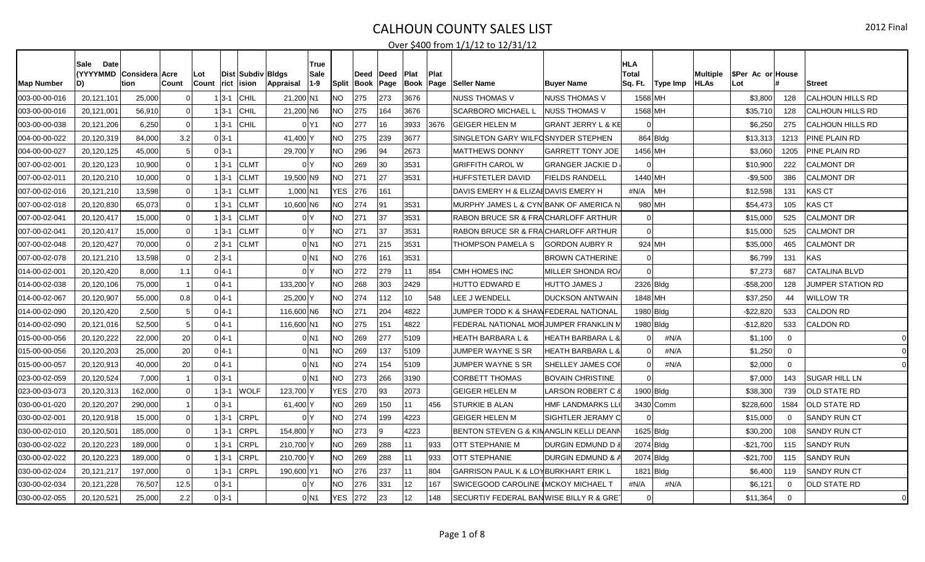| <b>Map Number</b> | <b>Date</b><br>Sale<br><b>(YYYYMMD</b><br>D) | Considera Acre<br>tion | Count          | Lot<br>Count | Dist   Subdiv   Bldgs<br>rict ision | Appraisal       | ∣True<br>Sale<br>$ 1-9 $ |           | Deed<br>Split Book Page | Deed | Plat<br>Book Page | Plat | Seller Name                                     | <b>Buyer Name</b>             | HLA<br><b>Total</b><br>Sq. Ft. | Type Imp   | Multiple<br><b>HLAs</b> | <b>SPer Ac or House</b><br>Lot |              | <b>Street</b>            |
|-------------------|----------------------------------------------|------------------------|----------------|--------------|-------------------------------------|-----------------|--------------------------|-----------|-------------------------|------|-------------------|------|-------------------------------------------------|-------------------------------|--------------------------------|------------|-------------------------|--------------------------------|--------------|--------------------------|
| 003-00-00-016     | 20,121,101                                   | 25,000                 |                | 1 3-1        | CHIL                                | 21,200 N1       |                          | NO.       | 275                     | 273  | 3676              |      | <b>NUSS THOMAS V</b>                            | <b>NUSS THOMAS V</b>          | 1568 MH                        |            |                         | \$3,800                        | 128          | <b>CALHOUN HILLS RD</b>  |
| 003-00-00-016     | 20,121,00                                    | 56,910                 | $\Omega$       | $1 3-1$      | <b>CHIL</b>                         | 21,200 N6       |                          | <b>NO</b> | 275                     | 164  | 3676              |      | <b>SCARBORO MICHAEL L</b>                       | <b>INUSS THOMAS V</b>         | 1568 MH                        |            |                         | \$35,710                       | 128          | CALHOUN HILLS RD         |
| 003-00-00-038     | 20,121,206                                   | 6,250                  | 0              | $1 3-1 $     | CHIL                                |                 | 0 Y1                     | <b>NO</b> | 277                     | 16   | 3933              | 3676 | IGEIGER HELEN M                                 | <b>GRANT JERRY L &amp; KE</b> |                                |            |                         | \$6,250                        | 275          | <b>CALHOUN HILLS RD</b>  |
| 004-00-00-022     | 20,120,319                                   | 84,000                 | 3.2            | $0 3-1$      |                                     | 41,400 Y        |                          | <b>NO</b> | 275                     | 239  | 3677              |      | SINGLETON GARY WILFOSNYDER STEPHEN              |                               |                                | $864$ Bldg |                         | \$13,313                       | 1213         | <b>PINE PLAIN RD</b>     |
| 004-00-00-027     | 20,120,125                                   | 45,000                 |                | $0 3-1$      |                                     | 29,700 Y        |                          | <b>NO</b> | 296                     | 94   | 2673              |      | <b>MATTHEWS DONNY</b>                           | <b>GARRETT TONY JOE</b>       | 1456 MH                        |            |                         | \$3,060                        | 1205         | <b>PINE PLAIN RD</b>     |
| 007-00-02-001     | 20,120,123                                   | 10.900                 | $\Omega$       | $1 3-1 $     | <b>CLMT</b>                         | 0 <sup>N</sup>  |                          | NO.       | 269                     | 30   | 3531              |      | <b>GRIFFITH CAROL W</b>                         | <b>GRANGER JACKIE D</b>       |                                |            |                         | \$10,900                       | 222          | <b>CALMONT DR</b>        |
| 007-00-02-011     | 20,120,210                                   | 10,000                 | 0              | $1 3-1 $     | <b>CLMT</b>                         | 19,500 N9       |                          | <b>NO</b> | 271                     | 27   | 3531              |      | <b>HUFFSTETLER DAVID</b>                        | <b>FIELDS RANDELL</b>         | 1440 MH                        |            |                         | $-$9,500$                      | 386          | <b>CALMONT DR</b>        |
| 007-00-02-016     | 20,121,210                                   | 13,598                 | $\Omega$       | $1 3-1 $     | <b>CLMT</b>                         | 1,000 N1        |                          | YES 276   |                         | 161  |                   |      | DAVIS EMERY H & ELIZAEDAVIS EMERY H             |                               | #N/A                           | <b>IMH</b> |                         | \$12,598                       | 131          | <b>KAS CT</b>            |
| 007-00-02-018     | 20,120,830                                   | 65,073                 | 0              | $1 3-1 $     | <b>CLMT</b>                         | 10,600 N6       |                          | NO.       | 274                     | 91   | 3531              |      | MURPHY JAMES L & CYN BANK OF AMERICA N          |                               | 980 MH                         |            |                         | \$54,473                       | 105          | <b>KAS CT</b>            |
| 007-00-02-041     | 20,120,417                                   | 15,000                 | $\overline{0}$ | 1 3-1        | <b>CLMT</b>                         | 0 <sup>IY</sup> |                          | NO.       | 271                     | 37   | 3531              |      | RABON BRUCE SR & FRAICHARLOFF ARTHUR            |                               | $\Omega$                       |            |                         | \$15,000                       | 525          | <b>CALMONT DR</b>        |
| 007-00-02-041     | 20,120,417                                   | 15,000                 | $\overline{0}$ | $1 3-1$      | <b>CLMT</b>                         | 0 <sup>1</sup>  |                          | NO.       | 271                     | 37   | 3531              |      | RABON BRUCE SR & FRAICHARLOFF ARTHUR            |                               | $\Omega$                       |            |                         | \$15,000                       | 525          | <b>CALMONT DR</b>        |
| 007-00-02-048     | 20,120,427                                   | 70.000                 | 0              | $2 3-1 $     | <b>CLMT</b>                         |                 | $0$ <sub>N1</sub>        | <b>NO</b> | 271                     | 215  | 3531              |      | THOMPSON PAMELA S                               | <b>GORDON AUBRY R</b>         | 924 MH                         |            |                         | \$35,000                       | 465          | <b>CALMONT DR</b>        |
| 007-00-02-078     | 20,121,210                                   | 13,598                 | 0              | $2 3-1$      |                                     |                 | $0$ N <sub>1</sub>       | <b>NO</b> | 276                     | 161  | 3531              |      |                                                 | <b>BROWN CATHERINE</b>        | $\Omega$                       |            |                         | \$6,799                        | 131          | <b>KAS</b>               |
| 014-00-02-001     | 20,120,420                                   | 8,000                  | 1.1            | $0 4-1 $     |                                     | 0 <sup>N</sup>  |                          | NO.       | 272                     | 279  | 11                | 854  | CMH HOMES INC                                   | <b>IMILLER SHONDA ROA</b>     | $\Omega$                       |            |                         | \$7,273                        | 687          | <b>CATALINA BLVD</b>     |
| 014-00-02-038     | 20,120,106                                   | 75,000                 |                | $0 4-1$      |                                     | 133,200 Y       |                          | NO.       | 268                     | 303  | 2429              |      | HUTTO EDWARD E                                  | <b>HUTTO JAMES J</b>          | 2326 Bldg                      |            |                         | $-$58,200$                     | 128          | <b>JUMPER STATION RD</b> |
| 014-00-02-067     | 20,120,907                                   | 55,000                 | 0.8            | $0 4-1$      |                                     | 25,200Y         |                          | <b>NO</b> | 274                     | 112  | 10                | 548  | LEE J WENDELL                                   | <b>DUCKSON ANTWAIN</b>        | 1848 MH                        |            |                         | \$37,250                       | 44           | <b>WILLOW TR</b>         |
| 014-00-02-090     | 20,120,420                                   | 2,500                  | 5              | $0 4-1 $     |                                     | 116,600 N6      |                          | <b>NO</b> | 271                     | 204  | 4822              |      | JUMPER TODD K & SHAWFEDERAL NATIONAL            |                               | 1980 Bldg                      |            |                         | $-$22,820$                     | 533          | <b>CALDON RD</b>         |
| 014-00-02-090     | 20,121,016                                   | 52,500                 | 5 <sup>1</sup> | $0 4-1$      |                                     | 116,600 N1      |                          | <b>NO</b> | 275                     | 151  | 4822              |      | FEDERAL NATIONAL MORJUMPER FRANKLIN M           |                               | 1980 Bldg                      |            |                         | $-$12,820$                     | 533          | <b>CALDON RD</b>         |
| 015-00-00-056     | 20,120,222                                   | 22,000                 | 20             | $0 4-1$      |                                     |                 | $0$ N <sub>1</sub>       | NO.       | 269                     | 277  | 5109              |      | <b>HEATH BARBARA L &amp;</b>                    | HEATH BARBARA L &             |                                | #N/A       |                         | \$1,100                        | $\mathbf 0$  |                          |
| 015-00-00-056     | 20,120,203                                   | 25,000                 | 20             | $0 4-1$      |                                     |                 | $0$ N <sub>1</sub>       | <b>NO</b> | 269                     | 137  | 5109              |      | JUMPER WAYNE S SR                               | <b>HEATH BARBARA L &amp;</b>  | C                              | #N/A       |                         | \$1,250                        | $\mathbf{0}$ |                          |
| 015-00-00-057     | 20,120,913                                   | 40.000                 | 20             | $0 4-1$      |                                     |                 | $0$ <sub>N1</sub>        | NO.       | 274                     | 154  | 5109              |      | JUMPER WAYNE S SR                               | <b>SHELLEY JAMES COR</b>      | $\Omega$                       | #N/A       |                         | \$2,000                        | $\Omega$     |                          |
| 023-00-02-059     | 20,120,524                                   | 7,000                  |                | $0 3-1 $     |                                     |                 | $0$ <sub>N1</sub>        | <b>NO</b> | 273                     | 266  | 3190              |      | <b>CORBETT THOMAS</b>                           | <b>BOVAIN CHRISTINE</b>       | $\Omega$                       |            |                         | \$7,000                        | 143          | <b>SUGAR HILL LN</b>     |
| 023-00-03-073     | 20,120,313                                   | 162,000                | $\Omega$       | $1 3-1 $     | <b>WOLF</b>                         | 123,700 Y       |                          | YES       | 270                     | 93   | 2073              |      | <b>GEIGER HELEN M</b>                           | <b>LARSON ROBERT C 8</b>      | 1900 Bldg                      |            |                         | \$38,300                       | 739          | <b>OLD STATE RD</b>      |
| 030-00-01-020     | 20,120,207                                   | 290,000                |                | $0 3-1$      |                                     | 61,400 Y        |                          | <b>NO</b> | 269                     | 150  | 11                | 456  | <b>STURKIE B ALAN</b>                           | <b>HMF LANDMARKS LL</b>       |                                | 3430 Comm  |                         | \$228,600                      | 1584         | <b>OLD STATE RD</b>      |
| 030-00-02-001     | 20,120,918                                   | 15.000                 | 0              | 1 3-1        | <b>CRPL</b>                         | 0 <sup>IY</sup> |                          | NO.       | 274                     | 199  | 4223              |      | <b>GEIGER HELEN M</b>                           | SIGHTLER JERAMY C             |                                |            |                         | \$15,000                       | $\Omega$     | <b>SANDY RUN CT</b>      |
| 030-00-02-010     | 20,120,50                                    | 185,000                | 0              | $1 3-1$      | <b>CRPL</b>                         | 154,800 Y       |                          | NO.       | 273                     | q    | 4223              |      | BENTON STEVEN G & KINANGLIN KELLI DEANI         |                               | 1625 Bldg                      |            |                         | \$30,200                       | 108          | <b>SANDY RUN CT</b>      |
| 030-00-02-022     | 20,120,223                                   | 189,000                | $\Omega$       | $1 3-1 $     | <b>CRPL</b>                         | 210,700 Y       |                          | NO.       | 269                     | 288  | 11                | 933  | OTT STEPHANIE M                                 | <b>DURGIN EDMUND D &amp;</b>  | 2074 Bldg                      |            |                         | $-$21,700$                     | 115          | <b>SANDY RUN</b>         |
| 030-00-02-022     | 20,120,223                                   | 189,000                | $\overline{0}$ | $1 3-1 $     | CRPL                                | 210,700 Y       |                          | NO.       | 269                     | 288  | 11                | 933  | IOTT STEPHANIE                                  | <b>DURGIN EDMUND &amp; /</b>  | 2074 Bldg                      |            |                         | $-$21,700$                     | 115          | <b>SANDY RUN</b>         |
| 030-00-02-024     | 20,121,217                                   | 197.000                | -O l           | $1 3-1 $     | <b>CRPL</b>                         | 190,600 Y1      |                          | NO.       | 276                     | 237  | 11                | 804  | <b>GARRISON PAUL K &amp; LOYBURKHART ERIK L</b> |                               | 1821 Bldg                      |            |                         | \$6,400                        | 119          | <b>ISANDY RUN CT</b>     |
| 030-00-02-034     | 20,121,228                                   | 76,507                 | 12.5           | $0 3-1$      |                                     | 0 Y             |                          | NO.       | 276                     | 331  | 12                | 167  | SWICEGOOD CAROLINE IMCKOY MICHAEL T             |                               | #N/A                           | #N/A       |                         | \$6,12'                        | $\mathbf 0$  | <b>OLD STATE RD</b>      |
| 030-00-02-055     | 20,120,521                                   | 25,000                 | 2.2            | $0 3-1$      |                                     |                 | 0 N1                     | YES   272 |                         | 23   | 12                | 148  | SECURTIY FEDERAL BANWISE BILLY R & GRE'         |                               | $\Omega$                       |            |                         | \$11,364                       | $\Omega$     |                          |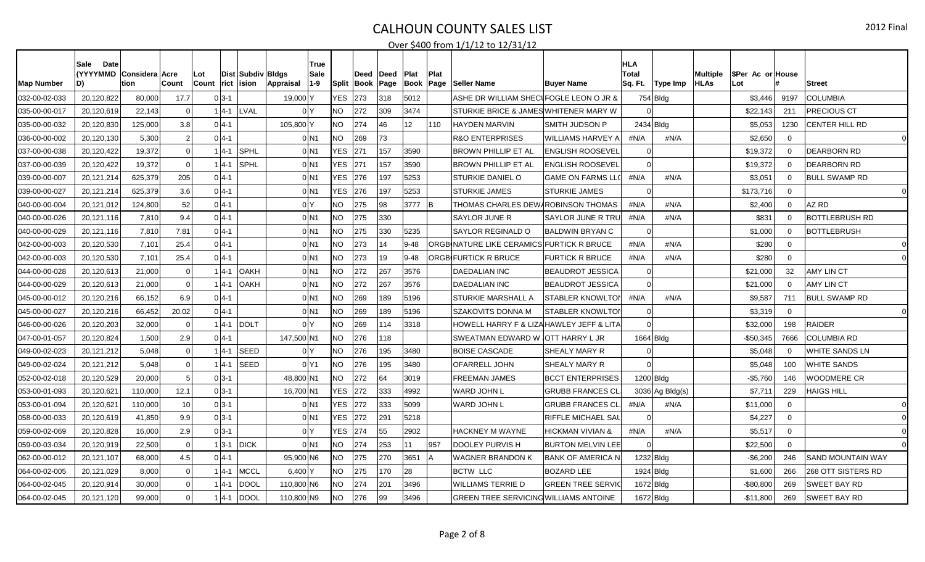| <b>Map Number</b> | Date<br>Sale<br>D) | (YYYYMMD Considera Acre<br>ltion. | ∣Count         | Lot<br><b>Count</b> | rict lision            | Dist   Subdiv   Bldgs<br>Appraisal | True<br>Sale<br>$1 - 9$       | <b>Split</b> | Deed<br>Book | ∣Deed<br>Page | Plat<br>Book | Plat<br>Page | <b>Seller Name</b>                        | <b>Buyer Name</b>           | <b>HLA</b><br><b>Total</b><br>Sq. Ft. | Type Imp        | Multiple<br><b>HLAs</b> | SPer Ac or House<br>Lot |             | <b>Street</b>            |
|-------------------|--------------------|-----------------------------------|----------------|---------------------|------------------------|------------------------------------|-------------------------------|--------------|--------------|---------------|--------------|--------------|-------------------------------------------|-----------------------------|---------------------------------------|-----------------|-------------------------|-------------------------|-------------|--------------------------|
| 032-00-02-033     | 20,120,822         | 80,000                            | 17.7           | $0 3-1 $            |                        | 19,000 Y                           |                               | <b>YES</b>   | 273          | 318           | 5012         |              | ASHE DR WILLIAM SHEClFOGLE LEON O JR &    |                             |                                       | 754 Bldg        |                         | \$3,446                 | 9197        | <b>COLUMBIA</b>          |
| 035-00-00-017     | 20,120,619         | 22.143                            | $\Omega$       | $1 4-1 $            | LVAL                   |                                    | 0 <sup>Y</sup>                | <b>NO</b>    | 272          | 309           | 3474         |              | STURKIE BRICE & JAMES WHITENER MARY W     |                             |                                       |                 |                         | \$22,143                | 211         | PRECIOUS CT              |
| 035-00-00-032     | 20,120,830         | 125,000                           | 3.8            | $0 4-1$             |                        | 105,800 Y                          |                               | <b>NO</b>    | 274          | 46            | 12           | 110          | <b>HAYDEN MARVIN</b>                      | <b>SMITH JUDSON P</b>       | 2434 Bldg                             |                 |                         | \$5,053                 | 1230        | CENTER HILL RD           |
| 036-00-00-002     | 20,120,130         | 5,300                             | $\overline{2}$ | $0 4-1 $            |                        |                                    | $0$ <sub>N1</sub>             | <b>NO</b>    | 269          | 73            |              |              | <b>R&amp;O ENTERPRISES</b>                | <b>WILLIAMS HARVEY A</b>    | #N/A                                  | #N/A            |                         | \$2,650                 | $\Omega$    |                          |
| 037-00-00-038     | 20,120,422         | 19,372                            | -ol            |                     | SPHL<br>$ 4-1 $        |                                    | $0$ N1                        | YES.         | 271          | 157           | 3590         |              | BROWN PHILLIP ET AL                       | <b>ENGLISH ROOSEVEL</b>     |                                       |                 |                         | \$19,372                | $\Omega$    | DEARBORN RD              |
| 037-00-00-039     | 20,120,422         | 19,372                            | - Ol           |                     | <b>SPHL</b><br>l4-1    |                                    | $0$ <sub>N1</sub>             | <b>YES</b>   | 271          | 157           | 3590         |              | <b>BROWN PHILLIP ET AL</b>                | <b>ENGLISH ROOSEVEL</b>     |                                       |                 |                         | \$19,372                | $\Omega$    | <b>DEARBORN RD</b>       |
| 039-00-00-007     | 20,121,214         | 625,379                           | 205            | $0 4-1$             |                        |                                    | $0$ N1                        | <b>YES</b>   | 276          | 197           | 5253         |              | <b>STURKIE DANIEL O</b>                   | <b>GAME ON FARMS LLO</b>    | #N/A                                  | #N/A            |                         | \$3,051                 | $\mathbf 0$ | <b>BULL SWAMP RD</b>     |
| 039-00-00-027     | 20,121,214         | 625,379                           | 3.6            | $0 4-1 $            |                        |                                    | $0$ <sub>N1</sub>             | <b>YES</b>   | 276          | 197           | 5253         |              | <b>STURKIE JAMES</b>                      | <b>STURKIE JAMES</b>        |                                       |                 |                         | \$173,716               | $\Omega$    | $\mathbf 0$              |
| 040-00-00-004     | 20,121,012         | 124,800                           | 52             | $0 4-1 $            |                        |                                    | 0 <sup>N</sup>                | <b>NO</b>    | 275          | 98            | 3777         | -lB          | THOMAS CHARLES DEW AROBINSON THOMAS       |                             | #N/A                                  | #N/A            |                         | \$2,400                 | $\mathbf 0$ | AZ RD                    |
| 040-00-00-026     | 20,121,116         | 7,810                             | 9.4            | $0 4-1 $            |                        |                                    | $0$ <sub>N1</sub>             | NO.          | 275          | 330           |              |              | SAYLOR JUNE R                             | SAYLOR JUNE R TRU           | #N/A                                  | #N/A            |                         | \$831                   | $\Omega$    | <b>BOTTLEBRUSH RD</b>    |
| 040-00-00-029     | 20,121,116         | 7,810                             | 7.81           | $0 4-1 $            |                        |                                    | $0$ <sub>N1</sub>             | <b>NO</b>    | 275          | 330           | 5235         |              | SAYLOR REGINALD O                         | <b>BALDWIN BRYAN C</b>      |                                       |                 |                         | \$1,000                 | $\Omega$    | <b>BOTTLEBRUSH</b>       |
| 042-00-00-003     | 20,120,530         | 7,101                             | 25.4           | $0 4-1 $            |                        |                                    | $0$ N1                        | <b>NO</b>    | 273          | 14            | $9 - 48$     |              | ORGBINATURE LIKE CERAMICS FURTICK R BRUCE |                             | #N/A                                  | #N/A            |                         | \$280                   | $\Omega$    | $\Omega$                 |
| 042-00-00-003     | 20,120,530         | 7,101                             | 25.4           | $0 4-1$             |                        |                                    | $0$ <sub>N1</sub>             | <b>NO</b>    | 273          | 19            | $9 - 48$     |              | <b>ORGBIFURTICK R BRUCE</b>               | <b>FURTICK R BRUCE</b>      | #N/A                                  | #N/A            |                         | \$280                   | $\Omega$    |                          |
| 044-00-00-028     | 20,120,613         | 21,000                            | $\mathbf 0$    |                     | $ 4-1 $<br><b>OAKH</b> |                                    | $0$ <sub>N1</sub>             | <b>NO</b>    | 272          | 267           | 3576         |              | <b>DAEDALIAN INC</b>                      | <b>BEAUDROT JESSICA</b>     |                                       |                 |                         | \$21,000                | 32          | <b>AMY LIN CT</b>        |
| 044-00-00-029     | 20,120,613         | 21,000                            | $\Omega$       |                     | <b>OAKH</b><br>$ 4-1 $ |                                    | $0$ <sub>N1</sub>             | NO.          | 272          | 267           | 3576         |              | <b>DAEDALIAN INC</b>                      | <b>BEAUDROT JESSICA</b>     |                                       |                 |                         | \$21,000                | $\Omega$    | <b>AMY LIN CT</b>        |
| 045-00-00-012     | 20,120,216         | 66,152                            | 6.9            | $0 4-1 $            |                        |                                    | $0$ N <sub>1</sub>            | <b>NO</b>    | 269          | 189           | 5196         |              | <b>STURKIE MARSHALL A</b>                 | <b>STABLER KNOWLTON</b>     | #N/A                                  | #N/A            |                         | \$9,587                 | 711         | <b>BULL SWAMP RD</b>     |
| 045-00-00-027     | 20,120,216         | 66,452                            | 20.02          | $0 4-1 $            |                        |                                    | $0$ <sub>N1</sub>             | <b>NO</b>    | 269          | 189           | 5196         |              | <b>SZAKOVITS DONNA M</b>                  | <b>STABLER KNOWLTON</b>     |                                       |                 |                         | \$3,319                 | $\Omega$    | $\Omega$                 |
| 046-00-00-026     | 20,120,203         | 32,000                            | $\mathbf 0$    | 14-1                | <b>DOLT</b>            |                                    | 0 <sup>Y</sup>                | <b>NO</b>    | 269          | 114           | 3318         |              | HOWELL HARRY F & LIZAHAWLEY JEFF & LITA   |                             |                                       |                 |                         | \$32,000                | 198         | <b>RAIDER</b>            |
| 047-00-01-057     | 20,120,824         | 1.500                             | 2.9            | $0 4-1 $            |                        | 147,500 N1                         |                               | NO.          | 276          | 118           |              |              | SWEATMAN EDWARD W JOTT HARRY L JR         |                             | $1664$ Bldg                           |                 |                         | $-$50,345$              | 7666        | <b>COLUMBIA RD</b>       |
| 049-00-02-023     | 20,121,212         | 5,048                             | -ol            |                     | <b>SEED</b><br>$ 4-1 $ |                                    | 0 <sup>1</sup>                | <b>NO</b>    | 276          | 195           | 3480         |              | <b>BOISE CASCADE</b>                      | SHEALY MARY R               |                                       |                 |                         | \$5,048                 | $\Omega$    | WHITE SANDS LN           |
| 049-00-02-024     | 20.121.212         | 5.048                             | -ol            |                     | <b>SEED</b><br>l4-1    |                                    | 0 <sup>1</sup> Y <sub>1</sub> | <b>NO</b>    | 276          | 195           | 3480         |              | <b>OFARRELL JOHN</b>                      | SHEALY MARY R               |                                       |                 |                         | \$5.048                 | 100         | <b>WHITE SANDS</b>       |
| 052-00-02-018     | 20,120,529         | 20,000                            | 5              | $0 3-1$             |                        | 48,800 N1                          |                               | <b>NO</b>    | 272          | 64            | 3019         |              | FREEMAN JAMES                             | <b>BCCT ENTERPRISES</b>     | 1200 Bldg                             |                 |                         | -\$5,760                | 146         | <b>WOODMERE CR</b>       |
| 053-00-01-093     | 20,120,621         | 110,000                           | 12.1           | $0 3-1 $            |                        | 16,700 N1                          |                               | <b>YES</b>   | 272          | 333           | 4992         |              | WARD JOHN L                               | <b>GRUBB FRANCES CL</b>     |                                       | 3036 Ag Bldg(s) |                         | \$7,71'                 | 229         | HAIGS HILL               |
| 053-00-01-094     | 20,120,621         | 110,000                           | 10             | $0 3-1 $            |                        |                                    | $0$ N1                        | <b>YES</b>   | 272          | 333           | 5099         |              | WARD JOHN L                               | <b>GRUBB FRANCES CL</b>     | #N/A                                  | #N/A            |                         | \$11,000                | $\Omega$    |                          |
| 058-00-00-033     | 20,120,619         | 41,850                            | 9.9            | $0 3-1 $            |                        |                                    | $0$ N <sub>1</sub>            | YES.         | 272          | 291           | 5218         |              |                                           | RIFFLE MICHAEL SAL          |                                       |                 |                         | \$4,227                 | $\Omega$    |                          |
| 059-00-02-069     | 20,120,828         | 16,000                            | 2.9            | $0 3-1 $            |                        |                                    | 0 <sup>N</sup>                | <b>YES</b>   | 274          | 55            | 2902         |              | HACKNEY M WAYNE                           | <b>HICKMAN VIVIAN &amp;</b> | #N/A                                  | #N/A            |                         | \$5,517                 | $\Omega$    |                          |
| 059-00-03-034     | 20,120,919         | 22,500                            | $\mathbf 0$    | $1 3-1 $            | <b>DICK</b>            |                                    | $0$ <sub>N1</sub>             | <b>NO</b>    | 274          | 253           | 11           | 957          | <b>DOOLEY PURVIS H</b>                    | <b>BURTON MELVIN LEE</b>    |                                       |                 |                         | \$22,500                | $\Omega$    |                          |
| 062-00-00-012     | 20,121,107         | 68,000                            | 4.5            | $0 4-1$             |                        | 95,900 N6                          |                               | NO.          | 275          | 270           | 3651         |              | WAGNER BRANDON K                          | <b>BANK OF AMERICA N</b>    | 1232 Bldg                             |                 |                         | $-$6,200$               | 246         | <b>SAND MOUNTAIN WAY</b> |
| 064-00-02-005     | 20,121,029         | 8,000                             | -ol            |                     | $ 4-1 $<br><b>MCCL</b> | $6,400$ Y                          |                               | NO           | 275          | 170           | 28           |              | <b>BCTW LLC</b>                           | <b>BOZARD LEE</b>           | $1924$ Bldg                           |                 |                         | \$1,600                 | 266         | 268 OTT SISTERS RD       |
| 064-00-02-045     | 20,120,914         | 30,000                            | -ol            |                     | <b>DOOL</b><br>l4-1    | 110,800 N6                         |                               | NO.          | 274          | 201           | 3496         |              | WILLIAMS TERRIE D                         | <b>GREEN TREE SERVIC</b>    |                                       | 1672 Bldg       |                         | -\$80,80C               | 269         | SWEET BAY RD             |
| 064-00-02-045     | 20,121,120         | 99,000                            | -ol            | 1 4 - 1             | DOOL                   | 110,800 N9                         |                               | <b>NO</b>    | 276          | 99            | 3496         |              | GREEN TREE SERVICING WILLIAMS ANTOINE     |                             |                                       | $1672$ Bldg     |                         | $-$11,800$              | 269         | SWEET BAY RD             |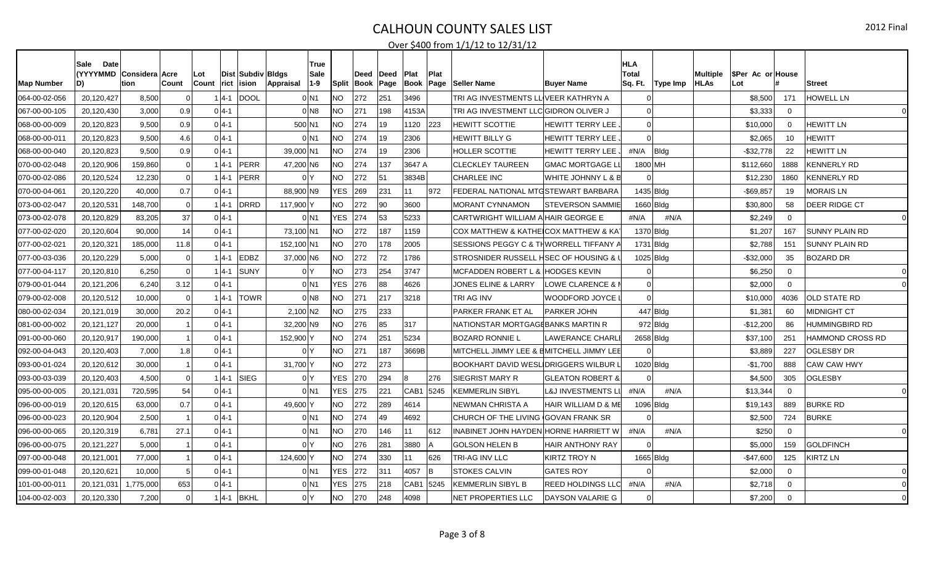| <b>Map Number</b> | Date<br>Sale<br>D) | (YYYYMMD Considera Acre<br>tion<br>Count |                | Lot<br>Count<br>rict | Dist Subdiv Bldgs<br>ision | Appraisal            | True<br><b>Sale</b><br>$1 - 9$ | <b>Split</b> | Deed<br>Book | ∣Deed<br>Page | <b>Plat</b><br>Book | Plat<br> Page | <b>Seller Name</b>                                | <b>Buyer Name</b>              | <b>HLA</b><br><b>Total</b><br>Sq. Ft.<br>Type Imp | Multiple<br><b>HLAs</b> | SPer Ac or House<br>Lot |             | <b>Street</b>         |
|-------------------|--------------------|------------------------------------------|----------------|----------------------|----------------------------|----------------------|--------------------------------|--------------|--------------|---------------|---------------------|---------------|---------------------------------------------------|--------------------------------|---------------------------------------------------|-------------------------|-------------------------|-------------|-----------------------|
| 064-00-02-056     | 20,120,427         | 8,500                                    | $\Omega$       | $ 4-1 $              | <b>DOOL</b>                |                      | $0$ <sub>N1</sub>              | NO.          | 272          | 251           | 3496                |               | TRI AG INVESTMENTS LL <sup>I</sup> VEER KATHRYN A |                                |                                                   |                         | \$8,500                 | 171         | <b>HOWELL LN</b>      |
| 067-00-00-105     | 20,120,430         | 3,000                                    | 0.9            | $0 4-1 $             |                            |                      | $0$ <sub>N8</sub>              | <b>NO</b>    | 271          | 198           | 4153A               |               | TRI AG INVESTMENT LLC GIDRON OLIVER J             |                                |                                                   |                         | \$3,333                 | $\Omega$    | $\Omega$              |
| 068-00-00-009     | 20,120,823         | 9,500                                    | 0.9            | $0 4-1 $             |                            |                      | 500 N1                         | NO.          | 274          | 19            | 1120                | 223           | <b>HEWITT SCOTTIE</b>                             | <b>HEWITT TERRY LEE</b>        | $\Omega$                                          |                         | \$10,000                | $\Omega$    | <b>HEWITT LN</b>      |
| 068-00-00-011     | 20,120,823         | 9,500                                    | 4.6            | $0 4-1 $             |                            |                      | $0$ <sub>N1</sub>              | <b>NO</b>    | 274          | 19            | 2306                |               | HEWITT BILLY G                                    | <b>HEWITT TERRY LEE</b>        |                                                   |                         | \$2,065                 | 10          | <b>HEWITT</b>         |
| 068-00-00-040     | 20,120,823         | 9.500                                    | 0.9            | $0 4-1 $             |                            | 39,000 N1            |                                | <b>NO</b>    | 274          | 19            | 2306                |               | HOLLER SCOTTIE                                    | <b>HEWITT TERRY LEE</b>        | #N/A<br>Bldg                                      |                         | -\$32,778               | 22          | HEWITT LN             |
| 070-00-02-048     | 20,120,906         | 159,860                                  | -ol            | $ 4-1 $              | PERR                       | 47,200 N6            |                                | <b>NO</b>    | 274          | 137           | 3647 A              |               | <b>CLECKLEY TAUREEN</b>                           | <b>GMAC MORTGAGE L</b>         | 1800 MH                                           |                         | \$112,660               | 1888        | <b>KENNERLY RD</b>    |
| 070-00-02-086     | 20,120,524         | 12,230                                   | -ol            | $1 4-1 $             | PERR                       |                      | 0 <sup>1</sup>                 | <b>NO</b>    | 272          | 51            | 3834B               |               | <b>CHARLEE INC</b>                                | WHITE JOHNNY L & B             |                                                   |                         | \$12,230                | 1860        | <b>KENNERLY RD</b>    |
| 070-00-04-061     | 20,120,220         | 40,000                                   | 0.7            | $0 4-1 $             |                            | 88,900 N9            |                                | <b>YES</b>   | 269          | 231           | 11                  | 972           | FEDERAL NATIONAL MTGSTEWART BARBARA               |                                | 1435 Bldg                                         |                         | $-$69,857$              | 19          | <b>MORAIS LN</b>      |
| 073-00-02-047     | 20,120,531         | 148.700                                  | -ol            | $1 4-1 $             | DRRD                       | 117,900 Y            |                                | NO.          | 272          | 90            | 3600                |               | MORANT CYNNAMON                                   | ISTEVERSON SAMMIE              | 1660 Bldg                                         |                         | \$30,800                | 58          | <b>DEER RIDGE CT</b>  |
| 073-00-02-078     | 20,120,829         | 83,205                                   | 37             | $0 4-1 $             |                            |                      | $0$ <sub>N1</sub>              | <b>YES</b>   | 274          | 53            | 5233                |               | CARTWRIGHT WILLIAM A HAIR GEORGE E                |                                | #N/A<br>#N/A                                      |                         | \$2,249                 | $\mathbf 0$ | $\overline{0}$        |
| 077-00-02-020     | 20,120,604         | 90.000                                   | 14             | $0 4-1 $             |                            | 73,100 N1            |                                | NO.          | 272          | 187           | 1159                |               | COX MATTHEW & KATHEICOX MATTHEW & KA              |                                | 1370 Bldg                                         |                         | \$1,207                 | 167         | SUNNY PLAIN RD        |
| 077-00-02-021     | 20,120,321         | 185,000                                  | 11.8           | $0 4-1 $             |                            | 152,100 N1           |                                | <b>NO</b>    | 270          | 178           | 2005                |               | SESSIONS PEGGY C & THWORRELL TIFFANY /            |                                | $1731$ Bldg                                       |                         | \$2,788                 | 151         | <b>SUNNY PLAIN RD</b> |
| 077-00-03-036     | 20,120,229         | 5,000                                    | $\Omega$       | 14-1                 | <b>EDBZ</b>                | 37,000 N6            |                                | NO.          | 272          | 72            | 1786                |               | STROSNIDER RUSSELL HSEC OF HOUSING &              |                                | 1025 Bldg                                         |                         | $-$32,000$              | 35          | <b>BOZARD DR</b>      |
| 077-00-04-117     | 20,120,810         | 6,250                                    | $\Omega$       | $ 4-1 $              | <b>SUNY</b>                |                      | 0 <sup>N</sup>                 | NO           | 273          | 254           | 3747                |               | MCFADDEN ROBERT L & HODGES KEVIN                  |                                |                                                   |                         | \$6,250                 | $\mathbf 0$ |                       |
| 079-00-01-044     | 20,121,206         | 6.240                                    | 3.12           | $0 4-1 $             |                            |                      | $0$ <sub>N1</sub>              | <b>YES</b>   | 276          | 88            | 4626                |               | JONES ELINE & LARRY                               | LOWE CLARENCE & I              |                                                   |                         | \$2,000                 | $\Omega$    |                       |
| 079-00-02-008     | 20,120,512         | 10,000                                   | $\mathbf 0$    | $ 4-1 $              | <b>TOWR</b>                |                      | $0$ N <sub>8</sub>             | NO.          | 271          | 217           | 3218                |               | TRI AG INV                                        | WOODFORD JOYCE                 |                                                   |                         | \$10,000                | 4036        | <b>OLD STATE RD</b>   |
| 080-00-02-034     | 20,121,019         | 30,000                                   | 20.2           | $0 4-1 $             |                            | 2,100 N <sub>2</sub> |                                | <b>NO</b>    | 275          | 233           |                     |               | <b>PARKER FRANK ET AL</b>                         | <b>PARKER JOHN</b>             | $447$ Bldg                                        |                         | \$1,381                 | 60          | <b>MIDNIGHT CT</b>    |
| 081-00-00-002     | 20,121,127         | 20,000                                   | $\overline{1}$ | $0 4-1 $             |                            | 32,200 N9            |                                | <b>NO</b>    | 276          | 85            | 317                 |               | NATIONSTAR MORTGAGEBANKS MARTIN R                 |                                | $972$ Bldg                                        |                         | $-$12,200$              | 86          | HUMMINGBIRD RD        |
| 091-00-00-060     | 20,120,917         | 190.000                                  | $\overline{1}$ | $0 4-1 $             |                            | 152,900 Y            |                                | NO.          | 274          | 251           | 5234                |               | <b>BOZARD RONNIE L</b>                            | <b>LAWERANCE CHARL</b>         | 2658 Bldg                                         |                         | \$37,100                | 251         | HAMMOND CROSS RD      |
| 092-00-04-043     | 20,120,403         | 7,000                                    | 1.8            | $0 4-1 $             |                            |                      | 0 <sup>Y</sup>                 | NO.          | 271          | 187           | 3669B               |               | MITCHELL JIMMY LEE & BMITCHELL JIMMY LEE          |                                |                                                   |                         | \$3,889                 | 227         | <b>OGLESBY DR</b>     |
| 093-00-01-024     | 20,120,612         | 30,000                                   | $\overline{1}$ | $0 4-1 $             |                            | 31,700               |                                | NO.          | 272          | 273           |                     |               | BOOKHART DAVID WESL DRIGGERS WILBUR               |                                | $1020$ Bldg                                       |                         | $-$1,700$               | 888         | <b>CAW CAW HWY</b>    |
| 093-00-03-039     | 20,120,403         | 4,500                                    | -ol            | $1 4-1 $             | SIEG                       |                      | 0 <sup>Y</sup>                 | <b>YES</b>   | 270          | 294           | ١R                  | 276           | <b>SIEGRIST MARY R</b>                            | <b>GLEATON ROBERT &amp;</b>    |                                                   |                         | \$4,500                 | 305         | <b>OGLESBY</b>        |
| 095-00-00-005     | 20,121,031         | 720,595                                  | 54             | $0 4-1 $             |                            |                      | $0$ <sub>N1</sub>              | <b>YES</b>   | 275          | 221           | CAB1                | 5245          | KEMMERLIN SIBYL                                   | <b>L&amp;J INVESTMENTS LI</b>  | #N/A<br>#N/A                                      |                         | \$13,344                | $\Omega$    | $\Omega$              |
| 096-00-00-019     | 20,120,615         | 63,000                                   | 0.7            | $0 4-1 $             |                            | 49,600 Y             |                                | <b>NO</b>    | 272          | 289           | 4614                |               | NEWMAN CHRISTA A                                  | <b>HAIR WILLIAM D &amp; ME</b> | 1096 Bldg                                         |                         | \$19,143                | 889         | <b>BURKE RD</b>       |
| 096-00-00-023     | 20,120,904         | 2,500                                    |                | $0 4-1 $             |                            |                      | $0$ <sub>N1</sub>              | NO.          | 274          | 49            | 4692                |               | CHURCH OF THE LIVING (GOVAN FRANK SR              |                                |                                                   |                         | \$2,500                 | 724         | <b>BURKE</b>          |
| 096-00-00-065     | 20,120,319         | 6,781                                    | 27.1           | $0 4-1 $             |                            |                      | $0$ N <sub>1</sub>             | NO.          | 270          | 146           | 11                  | 612           | INABINET JOHN HAYDEN HORNE HARRIETT W             |                                | #N/A<br>#N/A                                      |                         | \$250                   | $\Omega$    | $\Omega$              |
| 096-00-00-075     | 20,121,227         | 5,000                                    | $\overline{1}$ | $0 4-1 $             |                            |                      | 0 <sup>IY</sup>                | <b>NO</b>    | 276          | 281           | 3880                |               | <b>GOLSON HELEN B</b>                             | <b>HAIR ANTHONY RAY</b>        |                                                   |                         | \$5,000                 | 159         | <b>GOLDFINCH</b>      |
| 097-00-00-048     | 20,121,001         | 77,000                                   | 11             | $0 4-1 $             |                            | 124,600 Y            |                                | <b>NO</b>    | 274          | 330           | 11                  | 626           | TRI-AG INV LLC                                    | <b>KIRTZ TROY N</b>            | 1665 Bldg                                         |                         | $-$47,600$              | 125         | <b>KIRTZ LN</b>       |
| 099-00-01-048     | 20,120,621         | 10,000                                   | 5 <sup>1</sup> | $0 4-1 $             |                            |                      | $0$ <sub>N1</sub>              | <b>YES</b>   | 272          | 311           | 4057                | Iв            | <b>STOKES CALVIN</b>                              | <b>GATES ROY</b>               |                                                   |                         | \$2,000                 | $\Omega$    |                       |
| 101-00-00-011     | 20,121,031         | ,775,000                                 | 653            | $0 4-1 $             |                            |                      | $0$ <sub>N1</sub>              | <b>YES</b>   | 275          | 218           | CAB1 5245           |               | KEMMERLIN SIBYL B                                 | <b>REED HOLDINGS LLC</b>       | #N/A<br>#N/A                                      |                         | \$2,718                 | $\Omega$    |                       |
| 104-00-02-003     | 20,120,330         | 7,200                                    | -ol            |                      | 4-1 BKHL                   |                      | 0 <sup>N</sup>                 | <b>NO</b>    | 270          | 248           | 4098                |               | NET PROPERTIES LLC                                | <b>DAYSON VALARIE G</b>        |                                                   |                         | \$7,200                 | $\Omega$    |                       |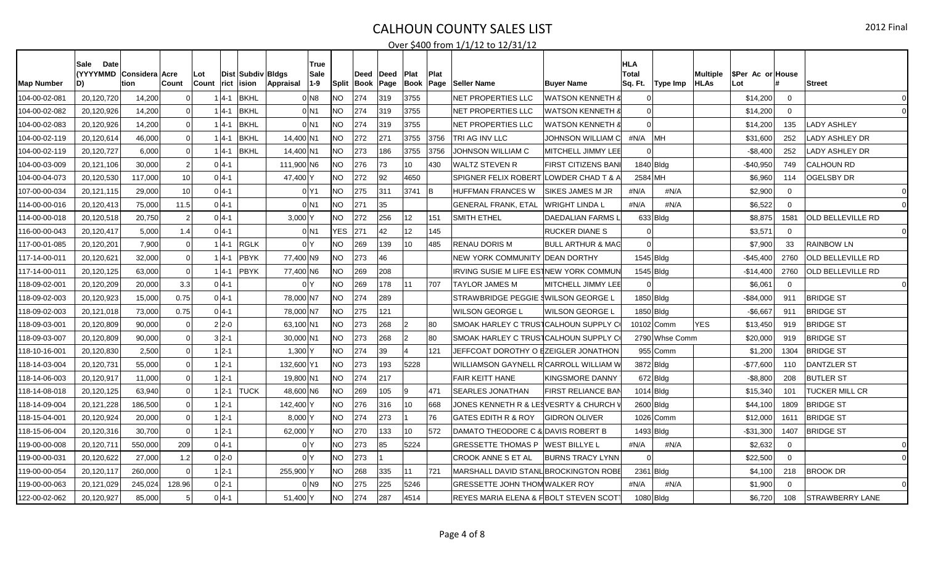| Map Number    | Date<br>Sale<br>(YYYYMMD Considera Acre<br>D) | tion    | Count          | Lot<br><b>Count</b> | ∣rict    | Dist   Subdiv   Bldgs<br>ision | Appraisal  | True<br><b>Sale</b><br>$1 - 9$ | <b>Split</b> | Deed<br><b>Book</b> | ∣Deed<br>Page | <b>Plat</b><br><b>Book</b> | Plat<br>Page | <b>Seller Name</b>                     | <b>Buver Name</b>            | <b>HLA</b><br><b>Total</b><br>Sq. Ft. | Type Imp       | <b>Multiple</b><br><b>HLAs</b> | SPer Ac or House<br>Lot |             | <b>Street</b>            |
|---------------|-----------------------------------------------|---------|----------------|---------------------|----------|--------------------------------|------------|--------------------------------|--------------|---------------------|---------------|----------------------------|--------------|----------------------------------------|------------------------------|---------------------------------------|----------------|--------------------------------|-------------------------|-------------|--------------------------|
| 104-00-02-081 | 20,120,720                                    | 14,200  | $\Omega$       |                     | $ 4-1 $  | <b>BKHL</b>                    |            | $0$ <sub>N8</sub>              | NO.          | 274                 | 319           | 3755                       |              | NET PROPERTIES LLC                     | WATSON KENNETH (             |                                       |                |                                | \$14,200                | $\Omega$    | $\Omega$                 |
| 104-00-02-082 | 20,120,926                                    | 14,200  | $\Omega$       |                     | l4-1     | <b>BKHL</b>                    |            | $0$ <sub>N1</sub>              | <b>NO</b>    | 274                 | 319           | 3755                       |              | NET PROPERTIES LLC                     | WATSON KENNETH 8             |                                       |                |                                | \$14,200                | $\Omega$    | $\Omega$                 |
| 104-00-02-083 | 20,120,926                                    | 14,200  | -ol            |                     | $ 4-1 $  | <b>BKHL</b>                    |            | $0$ <sub>N1</sub>              | NO           | 274                 | 319           | 3755                       |              | NET PROPERTIES LLC                     | WATSON KENNETH 8             |                                       |                |                                | \$14,200                | 135         | <b>LADY ASHLEY</b>       |
| 104-00-02-119 | 20,120,614                                    | 46,000  | - Ol           |                     | $ 4-1 $  | <b>BKHL</b>                    | 14.400 N1  |                                | <b>NO</b>    | 272                 | 271           | 3755                       | 3756         | TRI AG INV LLC                         | JOHNSON WILLIAM CI           | #N/A                                  | MН             |                                | \$31,600                | 252         | LADY ASHLEY DR           |
| 104-00-02-119 | 20,120,727                                    | 6,000   | -ol            |                     | $ 4-1 $  | <b>BKHL</b>                    | 14,400 N1  |                                | <b>NO</b>    | 273                 | 186           | 3755                       | 3756         | JOHNSON WILLIAM C                      | MITCHELL JIMMY LEE           |                                       |                |                                | -\$8,400                | 252         | LADY ASHLEY DR           |
| 104-00-03-009 | 20,121,106                                    | 30,000  | $\overline{2}$ |                     | $0 4-1 $ |                                | 111,900 N6 |                                | NO.          | 276                 | 73            | 10                         | 430          | WALTZ STEVEN R                         | <b>FIRST CITIZENS BAN</b>    | 1840 B <sub>ldq</sub>                 |                |                                | $-$40,950$              | 749         | <b>CALHOUN RD</b>        |
| 104-00-04-073 | 20,120,530                                    | 117,000 | 10             |                     | $0 4-1 $ |                                | 47,400 Y   |                                | <b>NO</b>    | 272                 | 92            | 4650                       |              | SPIGNER FELIX ROBERT LOWDER CHAD T & A |                              | 2584 MH                               |                |                                | \$6,960                 | 114         | <b>OGELSBY DR</b>        |
| 107-00-00-034 | 20,121,115                                    | 29,000  | 10             |                     | $0 4-1 $ |                                |            | 0 Y1                           | <b>NO</b>    | 275                 | 311           | 3741                       | B            | HUFFMAN FRANCES W                      | <b>SIKES JAMES M JR</b>      | #N/A                                  | #N/A           |                                | \$2,900                 | $\mathbf 0$ |                          |
| 114-00-00-016 | 20,120,413                                    | 75,000  | 11.5           |                     | $0 4-1 $ |                                |            | $0$ <sub>N1</sub>              | <b>NO</b>    | 271                 | 35            |                            |              | GENERAL FRANK, ETAL                    | <b>WRIGHT LINDA L</b>        | #N/A                                  | #N/A           |                                | \$6,522                 | $\Omega$    |                          |
| 114-00-00-018 | 20,120,518                                    | 20,750  | $\overline{2}$ |                     | $0 4-1 $ |                                | $3,000$ Y  |                                | <b>NO</b>    | 272                 | 256           | 12                         | 151          | SMITH ETHEL                            | DAEDALIAN FARMS L            | 633 B dq                              |                |                                | \$8,875                 | 1581        | OLD BELLEVILLE RD        |
| 116-00-00-043 | 20,120,417                                    | 5,000   | 1.4            |                     | $0 4-1 $ |                                |            | $0$ <sub>N1</sub>              | <b>YES</b>   | 271                 | 42            | 12 <sup>2</sup>            | 145          |                                        | <b>RUCKER DIANE S</b>        |                                       |                |                                | \$3,57'                 | $\Omega$    | $\Omega$                 |
| 117-00-01-085 | 20,120,201                                    | 7,900   | -ol            |                     | $1 4-1 $ | <b>RGLK</b>                    |            | 0 <sup>N</sup>                 | <b>NO</b>    | 269                 | 139           | 10                         | 485          | RENAU DORIS M                          | <b>BULL ARTHUR &amp; MAG</b> |                                       |                |                                | \$7,900                 | 33          | <b>RAINBOW LN</b>        |
| 117-14-00-011 | 20,120,621                                    | 32,000  | -OI            |                     | $1 4-1 $ | <b>PBYK</b>                    | 77.400 N9  |                                | NO.          | 273                 | 46            |                            |              | NEW YORK COMMUNITY   DEAN DORTHY       |                              | $1545$ Bldg                           |                |                                | $-$45,400$              | 2760        | <b>OLD BELLEVILLE RD</b> |
| 117-14-00-011 | 20,120,125                                    | 63,000  | -ol            |                     | $1 4-1 $ | PBYK                           | 77,400 N6  |                                | <b>NO</b>    | 269                 | 208           |                            |              | IRVING SUSIE M LIFE ESTNEW YORK COMMUN |                              | 1545 Bldg                             |                |                                | $-$14,400$              | 2760        | OLD BELLEVILLE RD        |
| 118-09-02-001 | 20,120,209                                    | 20,000  | 3.3            |                     | $0 4-1 $ |                                |            | 0 <sup>N</sup>                 | NO.          | 269                 | 178           | 11                         | 707          | TAYLOR JAMES M                         | MITCHELL JIMMY LEE           |                                       |                |                                | \$6,06'                 | $\Omega$    | $\overline{0}$           |
| 118-09-02-003 | 20,120,923                                    | 15,000  | 0.75           |                     | $0 4-1 $ |                                | 78,000 N7  |                                | NO.          | 274                 | 289           |                            |              | STRAWBRIDGE PEGGIE (WILSON GEORGE L    |                              | 1850 Bldg                             |                |                                | $-$84,000$              | 911         | <b>BRIDGE ST</b>         |
| 118-09-02-003 | 20,121,018                                    | 73,000  | 0.75           |                     | $0 4-1 $ |                                | 78,000 N7  |                                | NO           | 275                 | 121           |                            |              | WILSON GEORGE L                        | <b>WILSON GEORGE L</b>       | $1850$ Bldg                           |                |                                | $-$6,667$               | 911         | <b>BRIDGE ST</b>         |
| 118-09-03-001 | 20,120,809                                    | 90,000  | 0              |                     | $2 2-0$  |                                | 63,100 N1  |                                | NO.          | 273                 | 268           | 12                         | 80           | SMOAK HARLEY C TRUSTCALHOUN SUPPLY C   |                              | 10102 Comm                            |                | <b>YES</b>                     | \$13,450                | 919         | <b>BRIDGE ST</b>         |
| 118-09-03-007 | 20,120,809                                    | 90,000  | -ol            |                     | $3 2-1$  |                                | 30,000 N1  |                                | <b>NO</b>    | 273                 | 268           | 12                         | 80           | SMOAK HARLEY C TRUS1CALHOUN SUPPLY C   |                              |                                       | 2790 Whse Comm |                                | \$20,000                | 919         | <b>BRIDGE ST</b>         |
| 118-10-16-001 | 20,120,830                                    | 2,500   | -ol            |                     | $2 - 1$  |                                | 1,300 Y    |                                | NO.          | 274                 | 39            | 14                         | 121          | JEFFCOAT DOROTHY O EZEIGLER JONATHON   |                              |                                       | 955 Comm       |                                | \$1,200                 | 1304        | <b>BRIDGE ST</b>         |
| 118-14-03-004 | 20,120,731                                    | 55,000  | -ol            |                     | $1 2-1$  |                                | 132,600 Y1 |                                | <b>NO</b>    | 273                 | 193           | 5228                       |              | WILLIAMSON GAYNELL R CARROLL WILLIAM W |                              | 3872 Bldg                             |                |                                | $-$77,600$              | 110         | <b>DANTZLER ST</b>       |
| 118-14-06-003 | 20,120,917                                    | 11,000  | $\Omega$       |                     | 1 2-1    |                                | 19,800 N1  |                                | NO.          | 274                 | 217           |                            |              | <b>FAIR KEITT HANE</b>                 | KINGSMORE DANNY              | $672$ Bldg                            |                |                                | $-$ \$8,800             | 208         | <b>BUTLER ST</b>         |
| 118-14-08-018 | 20,120,125                                    | 63,940  | -ol            |                     | $1 2-1 $ | <b>TUCK</b>                    | 48,600 N6  |                                | NO           | 269                 | 105           |                            | 471          | <b>SEARLES JONATHAN</b>                | <b>FIRST RELIANCE BAI</b>    | $1014$ Bldg                           |                |                                | \$15,340                | 101         | TUCKER MILL CR           |
| 118-14-09-004 | 20,121,228                                    | 186,500 | -ol            |                     | $1 2-1 $ |                                | 142,400 Y  |                                | <b>NO</b>    | 276                 | 316           | 10                         | 668          | JONES KENNETH R & LE§VESRTY & CHURCH ' |                              | 2600 Bldg                             |                |                                | \$44,100                | 1809        | <b>BRIDGE ST</b>         |
| 118-15-04-001 | 20,120,924                                    | 20,000  | 0              |                     | $1 2-1$  |                                | 8,000      |                                | <b>NO</b>    | 274                 | 273           |                            | 176          | <b>GATES EDITH R &amp; ROY</b>         | <b>GIDRON OLIVER</b>         | 1026 Comm                             |                |                                | \$12,000                | 1611        | <b>BRIDGE ST</b>         |
| 118-15-06-004 | 20,120,316                                    | 30,700  | $\overline{0}$ |                     | $1 2-1 $ |                                | 62,000     |                                | NO.          | 270                 | 133           | 10                         | 572          | DAMATO THEODORE C & DAVIS ROBERT B     |                              | 1493 Bldg                             |                |                                | $-$31,300$              | 1407        | <b>BRIDGE ST</b>         |
| 119-00-00-008 | 20,120,711                                    | 550.000 | 209            |                     | $0 4-1 $ |                                |            | 0 <sup>IY</sup>                | <b>NO</b>    | 273                 | 85            | 5224                       |              | GRESSETTE THOMAS P IWEST BILLYE L      |                              | #N/A                                  | #N/A           |                                | \$2,632                 | $\Omega$    | $\Omega$                 |
| 119-00-00-031 | 20,120,622                                    | 27,000  | 1.2            |                     | $0 2-0$  |                                |            | 0 <sup>N</sup>                 | <b>NO</b>    | 273                 |               |                            |              | <b>CROOK ANNE S ET AL</b>              | <b>BURNS TRACY LYNN</b>      |                                       |                |                                | \$22,500                | $\Omega$    |                          |
| 119-00-00-054 | 20,120,117                                    | 260,000 | $\Omega$       |                     | $1 2-1 $ |                                | 255,900 ነ  |                                | <b>NO</b>    | 268                 | 335           | 11                         | 721          | MARSHALL DAVID STANLIBROCKINGTON ROBE  |                              | $2361$ Bldg                           |                |                                | \$4,100                 | 218         | <b>BROOK DR</b>          |
| 119-00-00-063 | 20,121,029                                    | 245,024 | 128.96         |                     | $0 2-1$  |                                |            | $0$ N <sub>9</sub>             | NO.          | 275                 | 225           | 5246                       |              | GRESSETTE JOHN THOMWALKER ROY          |                              | #N/A                                  | #N/A           |                                | \$1,900                 | $\Omega$    |                          |
| 122-00-02-062 | 20,120,927                                    | 85,000  | 5              |                     | $0 4-1 $ |                                | 51,400 Y   |                                | NO.          | 274                 | 287           | 4514                       |              | REYES MARIA ELENA & FIBOLT STEVEN SCOT |                              | 1080 Bldg                             |                |                                | \$6,720                 | 108         | <b>STRAWBERRY LANE</b>   |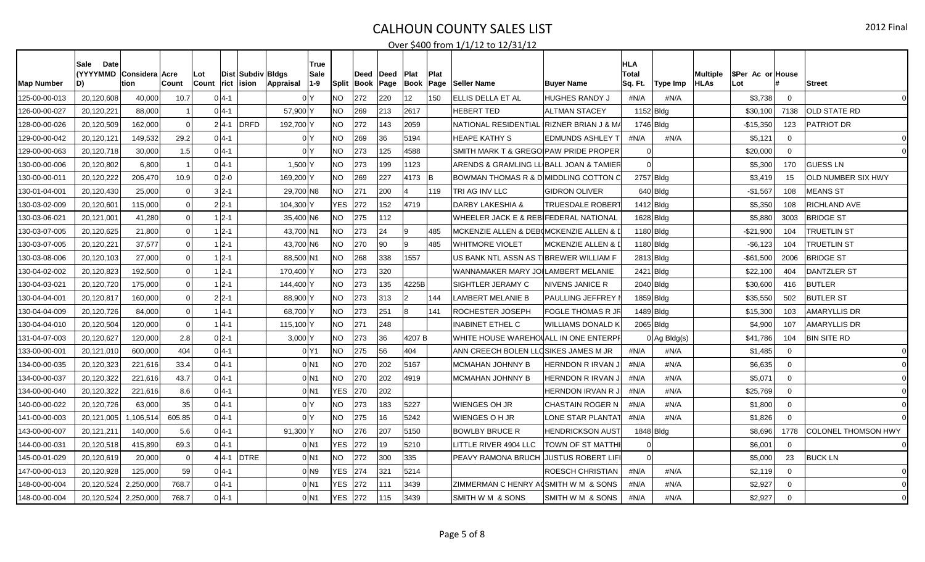| <b>Map Number</b> | <b>Date</b><br>Sale<br><b>(YYYYMMD</b><br>D) | Considera Acre<br>tion | Count          | Lot<br>Count | Dist   Subdiv   Bldgs<br>rict ision | Appraisal    | True<br>Sale<br>$1 - 9$ | <b>Split</b> | Deed<br> Book | Deed<br>Page | <b>Plat</b><br> Book | Plat<br>Page | <b>Seller Name</b>                      | <b>Buyer Name</b>             | <b>HLA</b><br><b>Total</b><br>Sq. Ft.<br>Type Imp | Multiple<br><b>HLAs</b> | SPer Ac or House<br>Lot |             | <b>Street</b>       |
|-------------------|----------------------------------------------|------------------------|----------------|--------------|-------------------------------------|--------------|-------------------------|--------------|---------------|--------------|----------------------|--------------|-----------------------------------------|-------------------------------|---------------------------------------------------|-------------------------|-------------------------|-------------|---------------------|
| 125-00-00-013     | 20,120,608                                   | 40,000                 | 10.7           |              | $0 4-1$                             |              | 0 <sup>Y</sup>          | <b>NO</b>    | 272           | 220          | 12                   | 150          | ELLIS DELLA ET AL                       | <b>HUGHES RANDY J</b>         | #N/A<br>#N/A                                      |                         | \$3,738                 | $\Omega$    | $\Omega$            |
| 126-00-00-027     | 20,120,221                                   | 88.000                 |                |              | $0 4-1$                             | 57,900 Y     |                         | <b>NO</b>    | 269           | 213          | 2617                 |              | <b>HEBERT TED</b>                       | <b>ALTMAN STACEY</b>          | $1152$ Bldg                                       |                         | \$30,100                | 7138        | <b>OLD STATE RD</b> |
| 128-00-00-026     | 20,120,509                                   | 162,000                | 0              |              | <b>DRFD</b><br>$2 4-1 $             | 192,700 Y    |                         | <b>NO</b>    | 272           | 143          | 2059                 |              | NATIONAL RESIDENTIAL RIZNER BRIAN J & M |                               | 1746 Bldg                                         |                         | $-$15,350$              | 123         | PATRIOT DR          |
| 129-00-00-042     | 20,120,121                                   | 149,532                | 29.2           |              | $0 4-1$                             |              | 0 <sup>N</sup>          | <b>NO</b>    | 269           | 36           | 5194                 |              | <b>HEAPE KATHY S</b>                    | <b>EDMUNDS ASHLEY</b>         | #N/A<br>#N/A                                      |                         | \$5,121                 | $\Omega$    |                     |
| 129-00-00-063     | 20,120,718                                   | 30,000                 | 1.5            |              | $0 4-1$                             |              | 0 Y                     | <b>NO</b>    | 273           | 125          | 4588                 |              | SMITH MARK T & GREGOIPAW PRIDE PROPER   |                               |                                                   |                         | \$20,000                | $\Omega$    |                     |
| 130-00-00-006     | 20,120,802                                   | 6.800                  |                |              | $0 4-1$                             | 1,500 $\mid$ |                         | <b>NO</b>    | 273           | 199          | 1123                 |              | ARENDS & GRAMLING LLIBALL JOAN & TAMIER |                               |                                                   |                         | \$5,300                 | 170         | <b>GUESS LN</b>     |
| 130-00-00-011     | 20,120,222                                   | 206,470                | 10.9           |              | $0 2-0$                             | 169,200 Y    |                         | <b>NO</b>    | 269           | 227          | 4173                 | lВ           | BOWMAN THOMAS R & D MIDDLING COTTON C   |                               | 2757 Bldg                                         |                         | \$3,419                 | 15          | OLD NUMBER SIX HWY  |
| 130-01-04-001     | 20,120,430                                   | 25,000                 | $\overline{0}$ |              | $3 2-1$                             | 29,700 N8    |                         | <b>NO</b>    | 271           | 200          |                      | 119          | <b>TRI AG INV LLC</b>                   | <b>GIDRON OLIVER</b>          | $640$ Bldg                                        |                         | $-$1,567$               | 108         | <b>MEANS ST</b>     |
| 130-03-02-009     | 20,120,60                                    | 115,000                | $\mathbf 0$    |              | $2 2-1$                             | 104,300 Y    |                         | <b>YES</b>   | 272           | 152          | 4719                 |              | <b>DARBY LAKESHIA &amp;</b>             | TRUESDALE ROBER <sup>-</sup>  | $1412$ Bldg                                       |                         | \$5,350                 | 108         | RICHLAND AVE        |
| 130-03-06-021     | 20,121,00                                    | 41,280                 | 0              |              | $1 2-1$                             | 35,400 N6    |                         | <b>NO</b>    | 275           | 112          |                      |              | WHEELER JACK E & REBIFEDERAL NATIONAL   |                               | $1628$ Bldg                                       |                         | \$5,880                 | 3003        | <b>BRIDGE ST</b>    |
| 130-03-07-005     | 20,120,625                                   | 21,800                 | 0              |              | $1 2-1$                             | 43,700 N1    |                         | <b>NO</b>    | 273           | 24           | 9                    | 485          | MCKENZIE ALLEN & DEB(MCKENZIE ALLEN &   |                               | $1180$ Bldg                                       |                         | $-$21,900$              | 104         | <b>TRUETLIN ST</b>  |
| 130-03-07-005     | 20,120,221                                   | 37,577                 | $\Omega$       |              | $1 2-1$                             | 43,700 N6    |                         | <b>NO</b>    | 270           | 90           | q                    | 485          | <b>WHITMORE VIOLET</b>                  | <b>MCKENZIE ALLEN &amp; I</b> | 1180 Bldg                                         |                         | $-$6,123$               | 104         | TRUETLIN ST         |
| 130-03-08-006     | 20,120,103                                   | 27,000                 | $\overline{0}$ |              | $1 2-1$                             | 88,500 N1    |                         | <b>NO</b>    | 268           | 338          | 1557                 |              | US BANK NTL ASSN AS TIBREWER WILLIAM F  |                               | $2813$ Bldg                                       |                         | $-$61,500$              | 2006        | <b>BRIDGE ST</b>    |
| 130-04-02-002     | 20,120,823                                   | 192.500                | 0              |              | $1 2-1$                             | 170,400 Y    |                         | <b>NO</b>    | 273           | 320          |                      |              | WANNAMAKER MARY JOILAMBERT MELANIE      |                               | 2421 Bldg                                         |                         | \$22,100                | 404         | <b>DANTZLER ST</b>  |
| 130-04-03-021     | 20,120,720                                   | 175,000                | 0              |              | $1 2-1$                             | 144,400 Y    |                         | <b>NO</b>    | 273           | 135          | 4225B                |              | SIGHTLER JERAMY C                       | <b>NIVENS JANICE R</b>        | $2040$ Bldg                                       |                         | \$30,600                | 416         | <b>BUTLER</b>       |
| 130-04-04-001     | 20,120,817                                   | 160,000                | $\Omega$       |              | $2 2-1$                             | 88,900 Y     |                         | <b>NO</b>    | 273           | 313          |                      | 144          | <b>LAMBERT MELANIE B</b>                | <b>PAULLING JEFFREY</b>       | 1859 Bldg                                         |                         | \$35,550                | 502         | <b>BUTLER ST</b>    |
| 130-04-04-009     | 20,120,726                                   | 84,000                 | 0              |              | $1 4-1$                             | 68,700 Y     |                         | <b>NO</b>    | 273           | 251          | R.                   | 141          | <b>ROCHESTER JOSEPH</b>                 | <b>FOGLE THOMAS R JR</b>      | $1489$ Bldg                                       |                         | \$15,300                | 103         | <b>AMARYLLIS DR</b> |
| 130-04-04-010     | 20,120,504                                   | 120.000                | 0              |              | $1 4-1$                             | 115,100 Y    |                         | <b>NO</b>    | 271           | 248          |                      |              | <b>INABINET ETHEL C</b>                 | <b>WILLIAMS DONALD K</b>      | 2065 Bldg                                         |                         | \$4,900                 | 107         | <b>AMARYLLIS DR</b> |
| 131-04-07-003     | 20,120,627                                   | 120.000                | 2.8            |              | $0 2-1$                             | $3,000$ Y    |                         | <b>NO</b>    | 273           | 36           | 4207B                |              | WHITE HOUSE WAREHOUALL IN ONE ENTERPI   |                               | $0$ Ag Bldg(s)                                    |                         | \$41,786                | 104         | <b>BIN SITE RD</b>  |
| 133-00-00-001     | 20,121,010                                   | 600.000                | 404            |              | $0 4-1$                             |              | 0 Y1                    | <b>NO</b>    | 275           | 56           | 404                  |              | ANN CREECH BOLEN LLOSIKES JAMES M JR    |                               | #N/A<br>#N/A                                      |                         | \$1,485                 | $\Omega$    |                     |
| 134-00-00-035     | 20,120,323                                   | 221,616                | 33.4           |              | $0 4-1$                             |              | $0$ N <sub>1</sub>      | <b>NO</b>    | 270           | 202          | 5167                 |              | MCMAHAN JOHNNY B                        | <b>HERNDON R IRVAN</b>        | #N/A<br>#N/A                                      |                         | \$6,635                 | $\Omega$    |                     |
| 134-00-00-037     | 20,120,322                                   | 221.616                | 43.7           |              | $0 4-1$                             |              | $0$ <sub>N1</sub>       | <b>NO</b>    | 270           | 202          | 4919                 |              | MCMAHAN JOHNNY B                        | <b>HERNDON R IRVAN.</b>       | #N/A<br>#N/A                                      |                         | \$5,071                 | $\Omega$    |                     |
| 134-00-00-040     | 20,120,322                                   | 221,616                | 8.6            |              | $0 4-1$                             |              | $0$  N1                 | <b>YES</b>   | 270           | 202          |                      |              |                                         | <b>HERNDON IRVAN R.</b>       | #N/A<br>#N/A                                      |                         | \$25,769                | $\Omega$    |                     |
| 140-00-00-022     | 20,120,726                                   | 63.000                 | 35             |              | $0 4-1$                             |              | 0 <sup>N</sup>          | <b>NO</b>    | 273           | 183          | 5227                 |              | lWIENGES OH JR                          | <b>CHASTAIN ROGER N</b>       | #N/A<br>#N/A                                      |                         | \$1,800                 | $\Omega$    |                     |
| 141-00-00-003     | 20,121,005                                   | 1,106,514              | 605.85         |              | $0 4-1$                             |              | 0 <sup>1</sup>          | <b>NO</b>    | 275           | 16           | 5242                 |              | lWIENGES O H JR                         | LONE STAR PLANTA <sup>.</sup> | #N/A<br>#N/A                                      |                         | \$1,826                 | $\Omega$    |                     |
| 143-00-00-007     | 20,121,21                                    | 140,000                | 5.6            |              | $0 4-1$                             | $91,300$ Y   |                         | <b>NO</b>    | 276           | 207          | 5150                 |              | <b>BOWLBY BRUCE R</b>                   | <b>HENDRICKSON AUST</b>       | 1848 Bldg                                         |                         | \$8,696                 | 1778        | COLONEL THOMSON HWY |
| 144-00-00-031     | 20,120,518                                   | 415,890                | 69.3           |              | $0 4-1$                             |              | 0 IN 1                  | <b>YES</b>   | 272           | 19           | 5210                 |              | LITTLE RIVER 4904 LLC                   | <b>TOWN OF ST MATTHE</b>      |                                                   |                         | \$6,001                 | $\Omega$    |                     |
| 145-00-01-029     | 20,120,619                                   | 20,000                 | 0              |              | <b>DTRE</b><br>$4 4-1 $             |              | 0 N1                    | <b>NO</b>    | 272           | 300          | 335                  |              | PEAVY RAMONA BRUCH JUSTUS ROBERT LIFI   |                               |                                                   |                         | \$5,000                 | 23          | <b>BUCK LN</b>      |
| 147-00-00-013     | 20,120,928                                   | 125.000                | 59             |              | $0 4-1$                             |              | $0$ N <sub>9</sub>      | YES.         | 274           | 321          | 5214                 |              |                                         | ROESCH CHRISTIAN              | #N/A<br>#N/A                                      |                         | \$2,119                 | $\mathbf 0$ |                     |
| 148-00-00-004     | 20,120,524                                   | 2,250,000              | 768.7          |              | $0 4-1$                             |              | $0$ <sub>N1</sub>       | YES.         | 272           | 111          | 3439                 |              | ZIMMERMAN C HENRY ACSMITH W M & SONS    |                               | #N/A<br>#N/A                                      |                         | \$2,927                 | $\Omega$    |                     |
| 148-00-00-004     | 20,120,524                                   | 2,250,000              | 768.7          |              | $0 4-1$                             |              | 0 N 1                   | YES          | 272           | 115          | 3439                 |              | ISMITH W M & SONS                       | SMITH W M & SONS              | #N/A<br>#N/A                                      |                         | \$2,927                 | $\Omega$    |                     |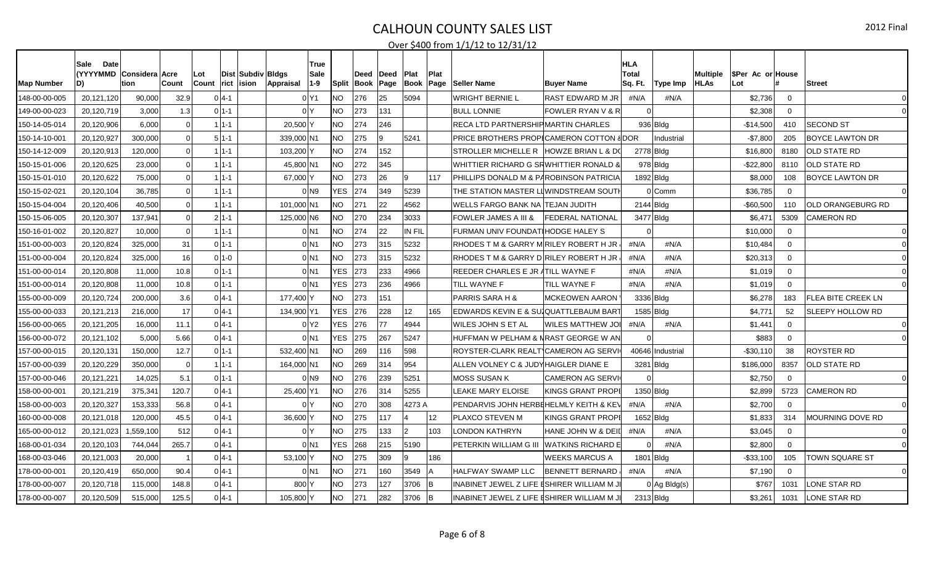| <b>Map Number</b> | Date <sup>®</sup><br>Sale<br>(YYYYMMD   Considera   Acre<br>D) | tion     | Count          | Lot<br>Count |            | Dist   Subdiv   Bldgs<br>$ {\sf rict} \> {\sf ision} \>$<br>Appraisal | True<br>Sale<br>$1 - 9$ | Split      | Deed<br>Book | ∣Deed<br>Page | <b>Plat</b><br>Book | Plat<br>Page | <b>Seller Name</b>                        | <b>Buyer Name</b>            | <b>HLA</b><br><b>Total</b><br>Sq. Ft. | Type Imp         | Multiple<br><b>HLAs</b> | SPer Ac or House<br>Lot |                | <b>Street</b>             |
|-------------------|----------------------------------------------------------------|----------|----------------|--------------|------------|-----------------------------------------------------------------------|-------------------------|------------|--------------|---------------|---------------------|--------------|-------------------------------------------|------------------------------|---------------------------------------|------------------|-------------------------|-------------------------|----------------|---------------------------|
| 148-00-00-005     | 20,121,120                                                     | 90,000   | 32.9           |              | $0 4-1$    |                                                                       | 0 Y1                    | NO.        | 276          | 25            | 5094                |              | WRIGHT BERNIE L                           | <b>RAST EDWARD M JR</b>      | #N/A                                  | #N/A             |                         | \$2,736                 | $\Omega$       |                           |
| 149-00-00-023     | 20,120,719                                                     | 3.000    | 1.3            |              | $0 1-1$    |                                                                       | 0 <sup>N</sup>          | NO         | 273          | 131           |                     |              | <b>BULL LONNIE</b>                        | <b>FOWLER RYAN V &amp; R</b> |                                       |                  |                         | \$2,308                 | $\Omega$       |                           |
| 150-14-05-014     | 20,120,906                                                     | 6,000    | $\Omega$       |              | $1 1-1$    | 20,500 Y                                                              |                         | <b>NO</b>  | 274          | 246           |                     |              | RECA LTD PARTNERSHIPMARTIN CHARLES        |                              |                                       | $936 B $ dg      |                         | $-$14,500$              | 410            | <b>SECOND ST</b>          |
| 150-14-10-001     | 20,120,927                                                     | 300,000  | $\Omega$       |              | $5 1-1$    | 339,000 N1                                                            |                         | <b>NO</b>  | 275          |               | 5241                |              | PRICE BROTHERS PROPICAMERON COTTON 8DOR   |                              |                                       | Industrial       |                         | $-$7,800$               | 205            | <b>BOYCE LAWTON DR</b>    |
| 150-14-12-009     | 20,120,913                                                     | 120,000  | $\Omega$       |              | $1 1 - 1$  | 103,200 Y                                                             |                         | NO.        | 274          | 152           |                     |              | STROLLER MICHELLE R HOWZE BRIAN L & D(    |                              | 2778 Bldg                             |                  |                         | \$16,800                | 8180           | OLD STATE RD              |
| 150-15-01-006     | 20,120,625                                                     | 23,000   | $\Omega$       |              | $1 1 - 1 $ | 45,800 N1                                                             |                         | NO         | 272          | 345           |                     |              | WHITTIER RICHARD G SRWHITTIER RONALD 8    |                              |                                       | $978$ Bldg       |                         | -\$22,800               | 8110           | <b>OLD STATE RD</b>       |
| 150-15-01-010     | 20,120,622                                                     | 75,000   | $\Omega$       |              | 1 1 - 1    | 67,000 Y                                                              |                         | NO         | 273          | 26            | 19                  | 117          | PHILLIPS DONALD M & PAROBINSON PATRICIA   |                              | 1892 Bldg                             |                  |                         | \$8,000                 | 108            | <b>BOYCE LAWTON DR</b>    |
| 150-15-02-021     | 20,120,104                                                     | 36,785   | $\Omega$       |              | $11 - 1$   |                                                                       | 0 N9                    | <b>YES</b> | 274          | 349           | 5239                |              | THE STATION MASTER LIIWINDSTREAM SOUTI    |                              |                                       | 0 Comm           |                         | \$36,785                | $\overline{0}$ |                           |
| 150-15-04-004     | 20,120,406                                                     | 40,500   | 0              |              | $1 1-1$    | 101,000 N1                                                            |                         | NO         | 271          | 22            | 4562                |              | WELLS FARGO BANK NA  TEJAN JUDITH         |                              | 2144 Bldg                             |                  |                         | $-$60,500$              | 110            | OLD ORANGEBURG RD         |
| 150-15-06-005     | 20,120,307                                                     | 137,941  | $\overline{0}$ |              | $2 1-1$    | 125,000 N6                                                            |                         | NO.        | 270          | 234           | 3033                |              | FOWLER JAMES A III &                      | FEDERAL NATIONAL             | 3477 Bldg                             |                  |                         | \$6,471                 | 5309           | <b>CAMERON RD</b>         |
| 150-16-01-002     | 20,120,827                                                     | 10,000   | 0              |              | $1 1-1$    |                                                                       | $0$ N1                  | NO.        | 274          | 22            | IN FIL              |              | FURMAN UNIV FOUNDATIHODGE HALEY S         |                              |                                       |                  |                         | \$10,000                | $\mathbf 0$    |                           |
| 151-00-00-003     | 20,120,824                                                     | 325,000  | 31             |              | $0 1-1$    |                                                                       | $0$ <sub>N1</sub>       | <b>NO</b>  | 273          | 315           | 5232                |              | RHODES T M & GARRY MIRILEY ROBERT H JR    |                              | #N/A                                  | #N/A             |                         | \$10,484                | $\mathbf 0$    |                           |
| 151-00-00-004     | 20,120,824                                                     | 325,000  | 16             |              | $0 1-0$    |                                                                       | $0$ N1                  | <b>NO</b>  | 273          | 315           | 5232                |              | RHODES T M & GARRY D RILEY ROBERT H JR    |                              | #N/A                                  | #N/A             |                         | \$20,313                | $\mathbf 0$    |                           |
| 151-00-00-014     | 20,120,808                                                     | 11,000   | 10.8           |              | $01 - 1$   |                                                                       | $0$ <sub>N1</sub>       | <b>YES</b> | 273          | 233           | 4966                |              | REEDER CHARLES E JR ATILL WAYNE F         |                              | #N/A                                  | #N/A             |                         | \$1,019                 | $\mathbf 0$    |                           |
| 151-00-00-014     | 20,120,808                                                     | 11,000   | 10.8           |              | $0 1-1$    |                                                                       | $0$ <sub>N1</sub>       | <b>YES</b> | 273          | 236           | 4966                |              | TILL WAYNE F                              | TILL WAYNE F                 | #N/A                                  | #N/A             |                         | \$1,019                 | $\mathbf 0$    |                           |
| 155-00-00-009     | 20,120,724                                                     | 200,000  | 3.6            |              | $0 4-1$    | 177,400 Y                                                             |                         | <b>NO</b>  | 273          | 151           |                     |              | <b>PARRIS SARA H &amp;</b>                | <b>MCKEOWEN AARON</b>        | 3336 Bldg                             |                  |                         | \$6,278                 | 183            | <b>FLEA BITE CREEK LN</b> |
| 155-00-00-033     | 20,121,213                                                     | 216,000  | 17             |              | $0 4-1$    | 134,900 Y1                                                            |                         | <b>YES</b> | 276          | 228           | 12                  | 165          | EDWARDS KEVIN E & SUIQUATTLEBAUM BART     |                              | 1585 Bldg                             |                  |                         | \$4,771                 | 52             | SLEEPY HOLLOW RD          |
| 156-00-00-065     | 20, 121, 205                                                   | 16,000   | 11.1           |              | $0 4-1$    |                                                                       | 0 <sup>2</sup>          | <b>YES</b> | 276          | 77            | 4944                |              | WILES JOHN S ET AL                        | WILES MATTHEW JO             | #N/A                                  | #N/A             |                         | \$1,441                 | $\mathbf 0$    |                           |
| 156-00-00-072     | 20,121,102                                                     | 5,000    | 5.66           |              | $0 4-1$    |                                                                       | $0$ <sub>N1</sub>       | <b>YES</b> | 275          | 267           | 5247                |              | HUFFMAN W PELHAM & NRAST GEORGE W AN      |                              |                                       |                  |                         | \$883                   | $\mathbf 0$    |                           |
| 157-00-00-015     | 20,120,131                                                     | 150,000  | 12.7           |              | $0 1-1$    | 532,400 N1                                                            |                         | NO.        | 269          | 116           | 598                 |              | ROYSTER-CLARK REALTICAMERON AG SERVI      |                              |                                       | 40646 Industrial |                         | -\$30,110               | -38            | ROYSTER RD                |
| 157-00-00-039     | 20,120,229                                                     | 350,000  | -O l           |              | $1 1-1$    | 164,000 N1                                                            |                         | NO         | 269          | 314           | 954                 |              | ALLEN VOLNEY C & JUDYHAIGLER DIANE E      |                              | 3281 Bldg                             |                  |                         | \$186,000               | 8357           | <b>OLD STATE RD</b>       |
| 157-00-00-046     | 20,121,221                                                     | 14.025   | 5.1            |              | $0 1-1$    |                                                                       | $01$ N <sub>9</sub>     | NO         | 276          | 239           | 5251                |              | <b>MOSS SUSAN K</b>                       | <b>CAMERON AG SERV</b>       |                                       |                  |                         | \$2,750                 | $\Omega$       |                           |
| 158-00-00-001     | 20,121,219                                                     | 375,341  | 120.7          |              | $0 4-1$    | 25,400 Y1                                                             |                         | NO.        | 276          | 314           | 5255                |              | LEAKE MARY ELOISE                         | <b>KINGS GRANT PROPE</b>     | 1350 Bldg                             |                  |                         | \$2,899                 | 5723           | <b>CAMERON RD</b>         |
| 158-00-00-003     | 20,120,327                                                     | 153,333  | 56.8           |              | $0 4-1$    |                                                                       | 0 <sup>N</sup>          | NO.        | 270          | 308           | 4273 A              |              | PENDARVIS JOHN HERBEHELMLY KEITH & KEY    |                              | #N/A                                  | #N/A             |                         | \$2,700                 | $\overline{0}$ |                           |
| 160-00-00-008     | 20,121,018                                                     | 120,000  | 45.5           |              | $0 4-1$    | 36,600 Y                                                              |                         | NO.        | 275          | 117           |                     | 12           | PLAXCO STEVEN M                           | KINGS GRANT PROPE            | $1652$ Bldg                           |                  |                         | \$1,833                 | 314            | MOURNING DOVE RD          |
| 165-00-00-012     | 20,121,023                                                     | ,559,100 | 512            |              | $0 4-1$    |                                                                       | 0 Y                     | NO.        | 275          | 133           | 2                   | 103          | LONDON KATHRYN                            | HANE JOHN W & DEII           | #N/A                                  | #N/A             |                         | \$3,045                 | 0              |                           |
| 168-00-01-034     | 20,120,103                                                     | 744,044  | 265.7          |              | $0 4-1$    |                                                                       | 0 IN 1                  | <b>YES</b> | 268          | 215           | 5190                |              | PETERKIN WILLIAM G III  WATKINS RICHARD E |                              |                                       | #N/A             |                         | \$2,800                 | $\Omega$       |                           |
| 168-00-03-046     | 20,121,003                                                     | 20,000   |                |              | $0 4-1$    | 53,100 Y                                                              |                         | <b>NO</b>  | 275          | 309           | ۱g                  | 186          |                                           | <b>WEEKS MARCUS A</b>        | 1801 Bldg                             |                  |                         | $-$33,100$              | 105            | <b>TOWN SQUARE ST</b>     |
| 178-00-00-001     | 20,120,419                                                     | 650.000  | 90.4           |              | $0 4-1$    |                                                                       | $0$ <sub>N1</sub>       | NO.        | 271          | 160           | 3549                |              | <b>HALFWAY SWAMP LLC</b>                  | <b>BENNETT BERNARD</b>       | #N/A                                  | #N/A             |                         | \$7,190                 | $\overline{0}$ |                           |
| 178-00-00-007     | 20,120,718                                                     | 115,000  | 148.8          |              | $0 4-1$    | 800 Y                                                                 |                         | NO.        | 273          | 127           | 3706                | B            | INABINET JEWEL Z LIFE [SHIRER WILLIAM M 、 |                              |                                       | $0$ Ag Bldg(s)   |                         | \$767                   | 1031           | <b>LONE STAR RD</b>       |
| 178-00-00-007     | 20,120,509                                                     | 515,000  | 125.5          |              | $0 4-1 $   | 105,800 Y                                                             |                         | NO         | 271          | 282           | 3706                | -lB          | INABINET JEWEL Z LIFE [SHIRER WILLIAM M 、 |                              | 2313 Bldg                             |                  |                         | \$3,261                 | 1031           | LONE STAR RD              |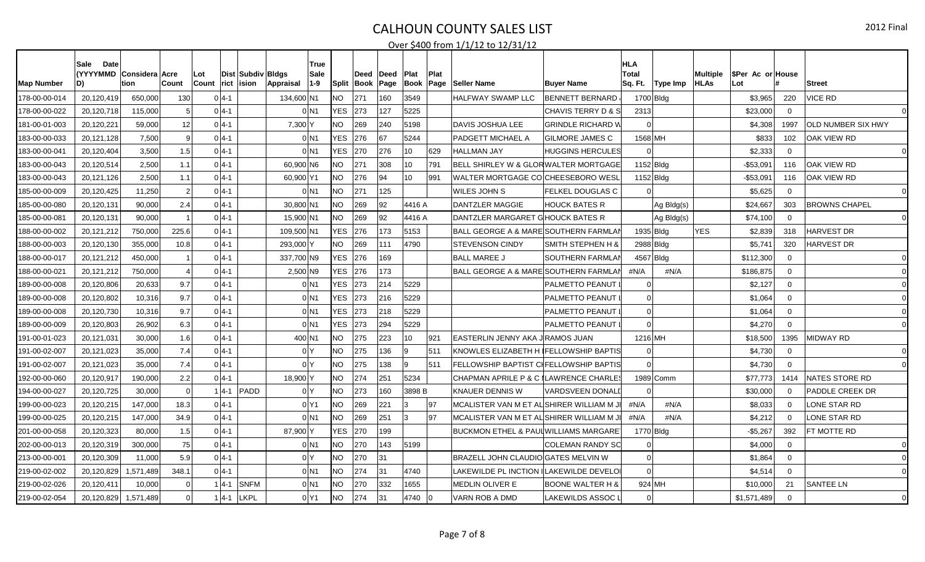| <b>Map Number</b> | <b>Date</b><br>Sale<br>(YYYYMMD Considera Acre<br>D) | tion      | ∣Count         | Lot<br><b>Count</b> | rict     | Dist Subdiv Bldgs<br>ision<br>Appraisal | True<br>Sale<br>$1 - 9$ | Split      | Deed<br> Book | ∣Deed<br>Page | Plat<br> Book | Plat<br>Page | <b>Seller Name</b>                              | <b>Buyer Name</b>           | <b>HLA</b><br><b>Total</b><br>Sq. Ft. | Type Imp    | Multiple<br><b>HLAs</b> | SPer Ac or House<br>Lot |             | <b>Street</b>             |
|-------------------|------------------------------------------------------|-----------|----------------|---------------------|----------|-----------------------------------------|-------------------------|------------|---------------|---------------|---------------|--------------|-------------------------------------------------|-----------------------------|---------------------------------------|-------------|-------------------------|-------------------------|-------------|---------------------------|
| 178-00-00-014     | 20,120,419                                           | 650,000   | 130            |                     | $0 4-1 $ |                                         | 134,600 N1              | NO.        | 271           | 160           | 3549          |              | HALFWAY SWAMP LLC                               | <b>BENNETT BERNARD</b>      |                                       | 1700 Bldg   |                         | \$3,965                 | 220         | <b>VICE RD</b>            |
| 178-00-00-022     | 20,120,718                                           | 115,000   |                |                     | $0 4-1 $ |                                         | $0$ <sub>N1</sub>       | <b>YES</b> | 273           | 127           | 5225          |              |                                                 | CHAVIS TERRY D & S          | 2313                                  |             |                         | \$23,000                | $\Omega$    |                           |
| 181-00-01-003     | 20,120,221                                           | 59,000    | 12             |                     | $0 4-1$  |                                         | 7,300 Y                 | <b>NO</b>  | 269           | 240           | 5198          |              | <b>DAVIS JOSHUA LEE</b>                         | <b>GRINDLE RICHARD V</b>    |                                       |             |                         | \$4,308                 | 1997        | <b>OLD NUMBER SIX HWY</b> |
| 183-00-00-033     | 20,121,128                                           | 7,500     | -9             |                     | $0 4-1 $ |                                         | $0$ <sub>N1</sub>       | YES.       | 276           | 67            | 5244          |              | PADGETT MICHAEL A                               | <b>GILMORE JAMES C</b>      | 1568 MH                               |             |                         | \$833                   | 102         | <b>OAK VIEW RD</b>        |
| 183-00-00-041     | 20,120,404                                           | 3,500     | 1.5            |                     | $0 4-1 $ |                                         | 0 N1                    | YES.       | 270           | 276           | 10            | 629          | <b>HALLMAN JAY</b>                              | <b>HUGGINS HERCULES</b>     |                                       |             |                         | \$2,333                 | $\Omega$    |                           |
| 183-00-00-043     | 20,120,514                                           | 2,500     | 1.1            |                     | $0 4-1 $ |                                         | 60,900 N6               | NO.        | 271           | 308           | 10            | 791          | BELL SHIRLEY W & GLORWALTER MORTGAGE            |                             |                                       | $1152$ Bldg |                         | $-$ \$53,09 $^{\circ}$  | 116         | OAK VIEW RD               |
| 183-00-00-043     | 20,121,126                                           | 2,500     | 1.1            |                     | $0 4-1 $ |                                         | 60,900 Y1               | <b>NO</b>  | 276           | 94            | 10            | 991          | WALTER MORTGAGE CO CHEESEBORO WESL              |                             |                                       | $1152$ Bldg |                         | -\$53,091               | 116         | OAK VIEW RD               |
| 185-00-00-009     | 20,120,425                                           | 11,250    | $\overline{2}$ |                     | $0 4-1 $ |                                         | 0 N1                    | <b>NO</b>  | 271           | 125           |               |              | <b>WILES JOHN S</b>                             | <b>FELKEL DOUGLAS C</b>     |                                       |             |                         | \$5,625                 | $\Omega$    |                           |
| 185-00-00-080     | 20,120,131                                           | 90,000    | 2.4            |                     | $0 4-1 $ |                                         | 30,800 N1               | <b>NO</b>  | 269           | 92            | 4416 A        |              | DANTZLER MAGGIE                                 | <b>HOUCK BATES R</b>        |                                       | Ag Bldg(s)  |                         | \$24,667                | 303         | <b>BROWNS CHAPEL</b>      |
| 185-00-00-081     | 20,120,131                                           | 90,000    |                |                     | $0 4-1 $ |                                         | 15,900 N1               | NO.        | 269           | 92            | 4416 A        |              | DANTZLER MARGARET GHOUCK BATES R                |                             |                                       | Ag Bldg(s)  |                         | \$74,100                | $\Omega$    |                           |
| 188-00-00-002     | 20,121,212                                           | 750,000   | 225.6          |                     | $0 4-1$  |                                         | 109,500 N1              | <b>YES</b> | 276           | 173           | 5153          |              | <b>BALL GEORGE A &amp; MARE SOUTHERN FARMLA</b> |                             |                                       | 1935 Bldg   | <b>YES</b>              | \$2,839                 | 318         | <b>HARVEST DR</b>         |
| 188-00-00-003     | 20,120,130                                           | 355,000   | 10.8           |                     | $0 4-1 $ | 293,000 Y                               |                         | <b>NO</b>  | 269           | 111           | 4790          |              | <b>STEVENSON CINDY</b>                          | SMITH STEPHEN H &           |                                       | 2988 Bldg   |                         | \$5,741                 | 320         | <b>HARVEST DR</b>         |
| 188-00-00-017     | 20,121,212                                           | 450,000   |                |                     | $0 4-1$  |                                         | 337,700 N9              | <b>YES</b> | 276           | 169           |               |              | <b>BALL MAREE J</b>                             | SOUTHERN FARMLAI            |                                       | 4567 Bldg   |                         | \$112,300               | $\Omega$    |                           |
| 188-00-00-021     | 20,121,212                                           | 750.000   |                |                     | $0 4-1 $ |                                         | 2,500 N9                | YES.       | 276           | 173           |               |              | BALL GEORGE A & MARE SOUTHERN FARMLAI           |                             | #N/A                                  | #N/A        |                         | \$186,875               | $\Omega$    |                           |
| 189-00-00-008     | 20,120,806                                           | 20,633    | 9.7            |                     | $0 4-1 $ |                                         | $0$ <sub>N1</sub>       | YES.       | 273           | 214           | 5229          |              |                                                 | <b>PALMETTO PEANUT</b>      |                                       |             |                         | \$2,127                 | $\mathbf 0$ |                           |
| 189-00-00-008     | 20,120,802                                           | 10,316    | 9.7            |                     | $0 4-1 $ |                                         | $0$ <sub>N1</sub>       | YES.       | 273           | 216           | 5229          |              |                                                 | <b>PALMETTO PEANUT</b>      |                                       |             |                         | \$1,064                 | $\Omega$    |                           |
| 189-00-00-008     | 20,120,730                                           | 10,316    | 9.7            |                     | $0 4-1 $ |                                         | 0 N1                    | <b>YES</b> | 273           | 218           | 5229          |              |                                                 | <b>PALMETTO PEANUT</b>      |                                       |             |                         | \$1,064                 | $\Omega$    |                           |
| 189-00-00-009     | 20,120,803                                           | 26,902    | 6.3            |                     | $0 4-1 $ |                                         | $0$ <sub>N1</sub>       | <b>YES</b> | 273           | 294           | 5229          |              |                                                 | <b>PALMETTO PEANUT</b>      | $\Omega$                              |             |                         | \$4,270                 | $\Omega$    |                           |
| 191-00-01-023     | 20,121,031                                           | 30.000    | 1.6            |                     | $0 4-1 $ |                                         | 400 N1                  | NO.        | 275           | 223           | 10            | 921          | EASTERLIN JENNY AKA J RAMOS JUAN                |                             | 1216 MH                               |             |                         | \$18,500                | 1395        | <b>MIDWAY RD</b>          |
| 191-00-02-007     | 20,121,023                                           | 35,000    | 7.4            |                     | $0 4-1 $ |                                         | 0 <sup>N</sup>          | NO.        | 275           | 136           | 19            | 511          | KNOWLES ELIZABETH H IFELLOWSHIP BAPTIS          |                             |                                       |             |                         | \$4,730                 | $\Omega$    |                           |
| 191-00-02-007     | 20,121,023                                           | 35,000    | 7.4            |                     | $0 4-1 $ |                                         | 0 <sup>Y</sup>          | <b>NO</b>  | 275           | 138           | ۱g            | 511          | FELLOWSHIP BAPTIST CIFELLOWSHIP BAPTIS          |                             |                                       |             |                         | \$4,730                 | $\Omega$    |                           |
| 192-00-00-060     | 20,120,917                                           | 190,000   | 2.2            |                     | $0 4-1 $ |                                         | 18,900 Y                | <b>NO</b>  | 274           | 251           | 5234          |              | CHAPMAN APRILE P & C ILAWRENCE CHARLE:          |                             |                                       | 1989 Comm   |                         | \$77,773                | 1414        | NATES STORE RD            |
| 194-00-00-027     | 20,120,725                                           | 30,000    | $\Omega$       |                     | $1 4-1 $ | PADD                                    | 0 <sup>1</sup>          | <b>NO</b>  | 273           | 160           | 3898 B        |              | KNAUER DENNIS W                                 | VARDSVEEN DONALI            |                                       |             |                         | \$30,000                | $\Omega$    | PADDLE CREEK DR           |
| 199-00-00-023     | 20,120,215                                           | 147.000   | 18.3           |                     | $0 4-1 $ |                                         | 0 <sup>1</sup>          | <b>NO</b>  | 269           | 221           | ١3            | 97           | MCALISTER VAN M ET ALISHIRER WILLIAM M J        |                             | #N/A                                  | #N/A        |                         | \$8,033                 | $\Omega$    | LONE STAR RD              |
| 199-00-00-025     | 20,120,215                                           | 147,000   | 34.9           |                     | $0 4-1 $ |                                         | $0$ <sub>N1</sub>       | <b>NO</b>  | 269           | 251           | 13            | 97           | MCALISTER VAN M ET ALISHIRER WILLIAM M 、        |                             | #N/A                                  | #N/A        |                         | \$4,212                 | $\Omega$    | LONE STAR RD              |
| 201-00-00-058     | 20,120,323                                           | 80,000    | 1.5            |                     | $0 4-1 $ |                                         | 87,900                  | YES        | 270           | 199           |               |              | BUCKMON ETHEL & PAUI WILLIAMS MARGARE           |                             |                                       | 1770 Bldg   |                         | $-$5,267$               | 392         | <b>FT MOTTE RD</b>        |
| 202-00-00-013     | 20,120,319                                           | 300,000   | 75             |                     | $0 4-1 $ |                                         | 0 N 1                   | <b>NO</b>  | 270           | 143           | 5199          |              |                                                 | <b>COLEMAN RANDY SC</b>     |                                       |             |                         | \$4,000                 | $\Omega$    |                           |
| 213-00-00-001     | 20,120,309                                           | 11,000    | 5.9            |                     | $0 4-1 $ |                                         | 0 <sup>Y</sup>          | <b>NO</b>  | 270           | 31            |               |              | BRAZELL JOHN CLAUDIO GATES MELVIN W             |                             | $\Omega$                              |             |                         | \$1,864                 | $\Omega$    |                           |
| 219-00-02-002     | 20,120,829                                           | 1,571,489 | 348.1          |                     | $0 4-1 $ |                                         | $0$ <sub>N1</sub>       | <b>NO</b>  | 274           | 31            | 4740          |              | LAKEWILDE PL INCTION ILAKEWILDE DEVELO          |                             |                                       |             |                         | \$4,514                 | $\Omega$    |                           |
| 219-00-02-026     | 20,120,41                                            | 10,000    | $\overline{0}$ |                     | l4-1     | <b>SNFM</b>                             | $0$ <sub>N1</sub>       | NO.        | 270           | 332           | 1655          |              | MEDLIN OLIVER E                                 | <b>BOONE WALTER H &amp;</b> |                                       | 924 MH      |                         | \$10,000                | 21          | <b>SANTEE LN</b>          |
| 219-00-02-054     | 20,120,829                                           | 1,571,489 | $\Omega$       |                     | l4-1     | <b>LKPL</b>                             | 0 Y1                    | <b>NO</b>  | 274           | 31            | 4740          |              | VARN ROB A DMD                                  | <b>LAKEWILDS ASSOC I</b>    |                                       |             |                         | \$1,571,489             | $\Omega$    |                           |